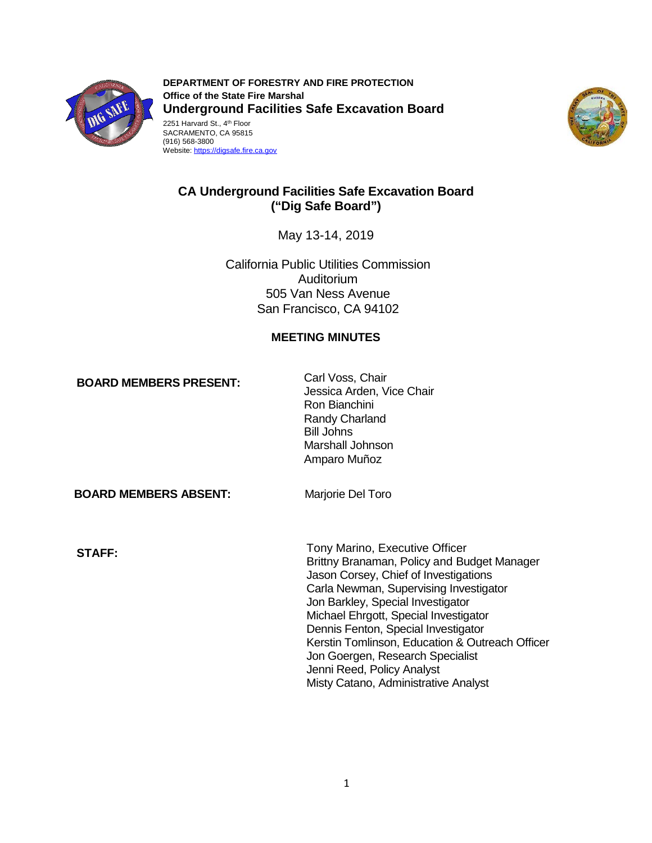

**DEPARTMENT OF FORESTRY AND FIRE PROTECTION Office of the State Fire Marshal Underground Facilities Safe Excavation Board**  2251 Harvard St., 4th Floor SACRAMENTO, CA 95815 (916) 568-3800

Website: https://digsafe.fire.ca.gov



# **CA Underground Facilities Safe Excavation Board ("Dig Safe Board")**

May 13-14, 2019

California Public Utilities Commission Auditorium 505 Van Ness Avenue San Francisco, CA 94102

### **MEETING MINUTES**

**BOARD MEMBERS PRESENT:** Carl Voss, Chair<br>Jessica Arden, Vice Chair Ron Bianchini Randy Charland Bill Johns Marshall Johnson Amparo Muñoz

**BOARD MEMBERS ABSENT:** Marjorie Del Toro

Tony Marino, Executive Officer **STAFF:**  Brittny Branaman, Policy and Budget Manager Jason Corsey, Chief of Investigations Carla Newman, Supervising Investigator Jon Barkley, Special Investigator Michael Ehrgott, Special Investigator Dennis Fenton, Special Investigator Kerstin Tomlinson, Education & Outreach Officer Jon Goergen, Research Specialist Jenni Reed, Policy Analyst Misty Catano, Administrative Analyst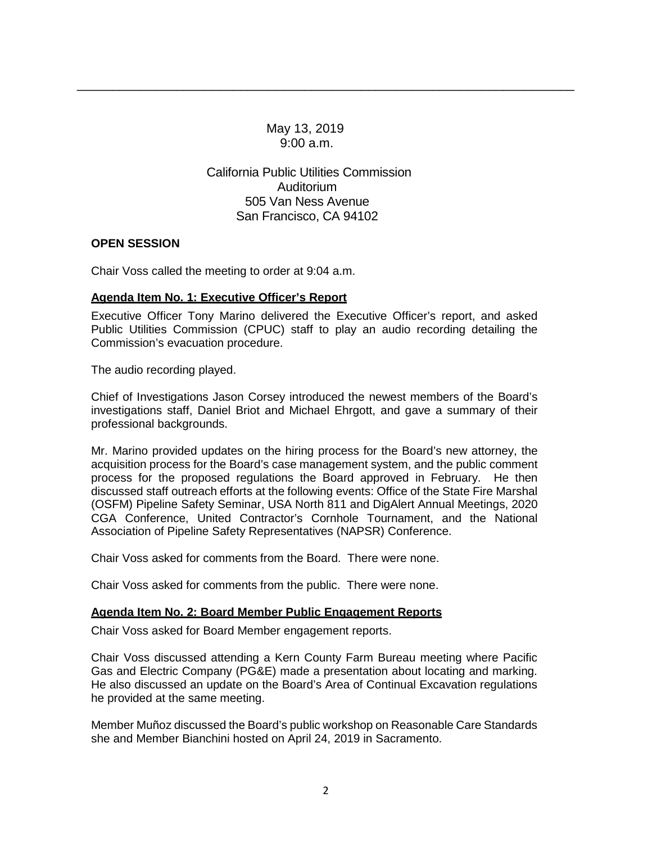May 13, 2019 9:00 a.m.

\_\_\_\_\_\_\_\_\_\_\_\_\_\_\_\_\_\_\_\_\_\_\_\_\_\_\_\_\_\_\_\_\_\_\_\_\_\_\_\_\_\_\_\_\_\_\_\_\_\_\_\_\_\_\_\_\_\_\_\_\_\_\_\_\_\_\_\_\_\_

California Public Utilities Commission Auditorium 505 Van Ness Avenue San Francisco, CA 94102

### **OPEN SESSION**

Chair Voss called the meeting to order at 9:04 a.m.

### **Agenda Item No. 1: Executive Officer's Report**

 Public Utilities Commission (CPUC) staff to play an audio recording detailing the Executive Officer Tony Marino delivered the Executive Officer's report, and asked Commission's evacuation procedure.

The audio recording played.

 Chief of Investigations Jason Corsey introduced the newest members of the Board's investigations staff, Daniel Briot and Michael Ehrgott, and gave a summary of their professional backgrounds.

 Mr. Marino provided updates on the hiring process for the Board's new attorney, the acquisition process for the Board's case management system, and the public comment process for the proposed regulations the Board approved in February. He then (OSFM) Pipeline Safety Seminar, USA North 811 and DigAlert Annual Meetings, 2020 discussed staff outreach efforts at the following events: Office of the State Fire Marshal CGA Conference, United Contractor's Cornhole Tournament, and the National Association of Pipeline Safety Representatives (NAPSR) Conference.

Chair Voss asked for comments from the Board. There were none.

Chair Voss asked for comments from the public. There were none.

### **Agenda Item No. 2: Board Member Public Engagement Reports**

Chair Voss asked for Board Member engagement reports.

Chair Voss asked for Board Member engagement reports.<br>Chair Voss discussed attending a Kern County Farm Bureau meeting where Pacific Gas and Electric Company (PG&E) made a presentation about locating and marking. Gas and Electric Company (PG&E) made a presentation about locating and marking.<br>He also discussed an update on the Board's Area of Continual Excavation regulations he provided at the same meeting.

 Member Muñoz discussed the Board's public workshop on Reasonable Care Standards she and Member Bianchini hosted on April 24, 2019 in Sacramento.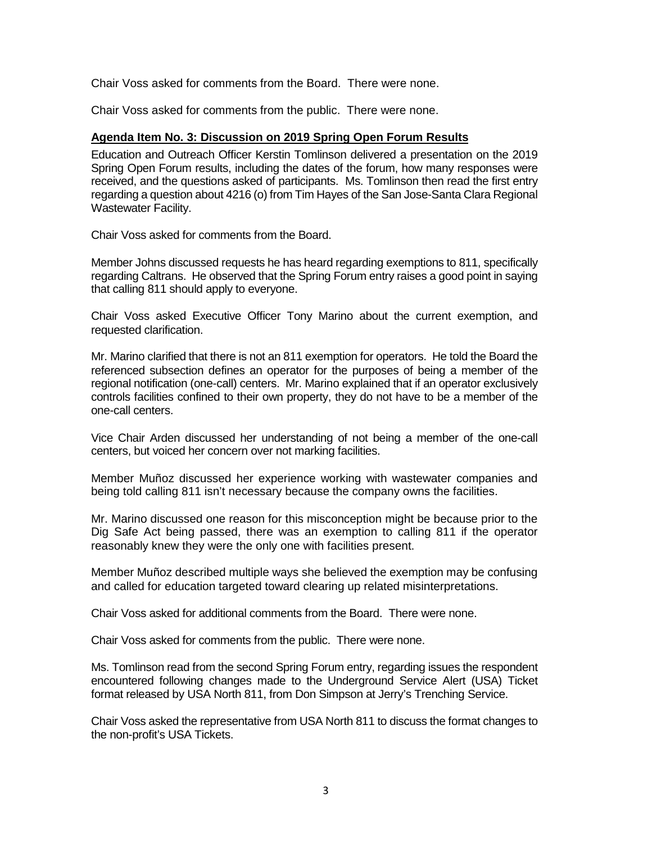Chair Voss asked for comments from the Board. There were none.

Chair Voss asked for comments from the public. There were none.

### **Agenda Item No. 3: Discussion on 2019 Spring Open Forum Results**

 Spring Open Forum results, including the dates of the forum, how many responses were received, and the questions asked of participants. Ms. Tomlinson then read the first entry regarding a question about 4216 (o) from Tim Hayes of the San Jose-Santa Clara Regional Education and Outreach Officer Kerstin Tomlinson delivered a presentation on the 2019 Wastewater Facility.

Chair Voss asked for comments from the Board.

Member Johns discussed requests he has heard regarding exemptions to 811, specifically regarding Caltrans. He observed that the Spring Forum entry raises a good point in saying that calling 811 should apply to everyone.

 Chair Voss asked Executive Officer Tony Marino about the current exemption, and requested clarification.

 Mr. Marino clarified that there is not an 811 exemption for operators. He told the Board the regional notification (one-call) centers. Mr. Marino explained that if an operator exclusively referenced subsection defines an operator for the purposes of being a member of the controls facilities confined to their own property, they do not have to be a member of the one-call centers.

Vice Chair Arden discussed her understanding of not being a member of the one-call centers, but voiced her concern over not marking facilities.

Member Muñoz discussed her experience working with wastewater companies and being told calling 811 isn't necessary because the company owns the facilities.

 Mr. Marino discussed one reason for this misconception might be because prior to the Dig Safe Act being passed, there was an exemption to calling 811 if the operator reasonably knew they were the only one with facilities present.

Member Muñoz described multiple ways she believed the exemption may be confusing and called for education targeted toward clearing up related misinterpretations.

Chair Voss asked for additional comments from the Board. There were none.

Chair Voss asked for comments from the public. There were none.

 format released by USA North 811, from Don Simpson at Jerry's Trenching Service. Ms. Tomlinson read from the second Spring Forum entry, regarding issues the respondent encountered following changes made to the Underground Service Alert (USA) Ticket

Chair Voss asked the representative from USA North 811 to discuss the format changes to the non-profit's USA Tickets.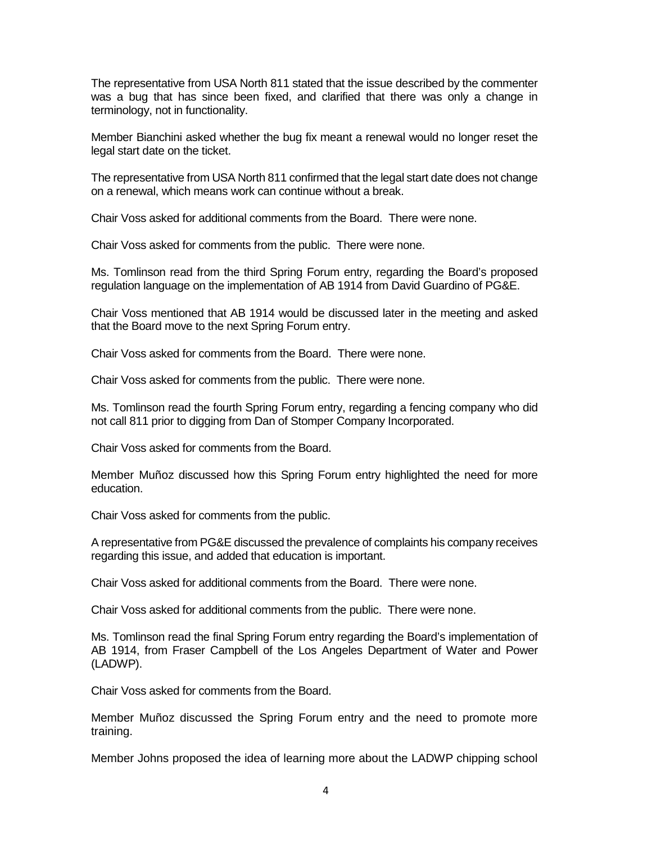The representative from USA North 811 stated that the issue described by the commenter was a bug that has since been fixed, and clarified that there was only a change in terminology, not in functionality.

 Member Bianchini asked whether the bug fix meant a renewal would no longer reset the legal start date on the ticket.

 The representative from USA North 811 confirmed that the legal start date does not change on a renewal, which means work can continue without a break.

Chair Voss asked for additional comments from the Board. There were none.

Chair Voss asked for comments from the public. There were none.

Ms. Tomlinson read from the third Spring Forum entry, regarding the Board's proposed regulation language on the implementation of AB 1914 from David Guardino of PG&E.

Chair Voss mentioned that AB 1914 would be discussed later in the meeting and asked that the Board move to the next Spring Forum entry.

Chair Voss asked for comments from the Board. There were none.

Chair Voss asked for comments from the public. There were none.

 Ms. Tomlinson read the fourth Spring Forum entry, regarding a fencing company who did not call 811 prior to digging from Dan of Stomper Company Incorporated.

Chair Voss asked for comments from the Board.

 Member Muñoz discussed how this Spring Forum entry highlighted the need for more education.

Chair Voss asked for comments from the public.

 A representative from PG&E discussed the prevalence of complaints his company receives regarding this issue, and added that education is important.

Chair Voss asked for additional comments from the Board. There were none.

Chair Voss asked for additional comments from the public. There were none.

 AB 1914, from Fraser Campbell of the Los Angeles Department of Water and Power Ms. Tomlinson read the final Spring Forum entry regarding the Board's implementation of (LADWP).

Chair Voss asked for comments from the Board.

 Member Muñoz discussed the Spring Forum entry and the need to promote more training.

Member Johns proposed the idea of learning more about the LADWP chipping school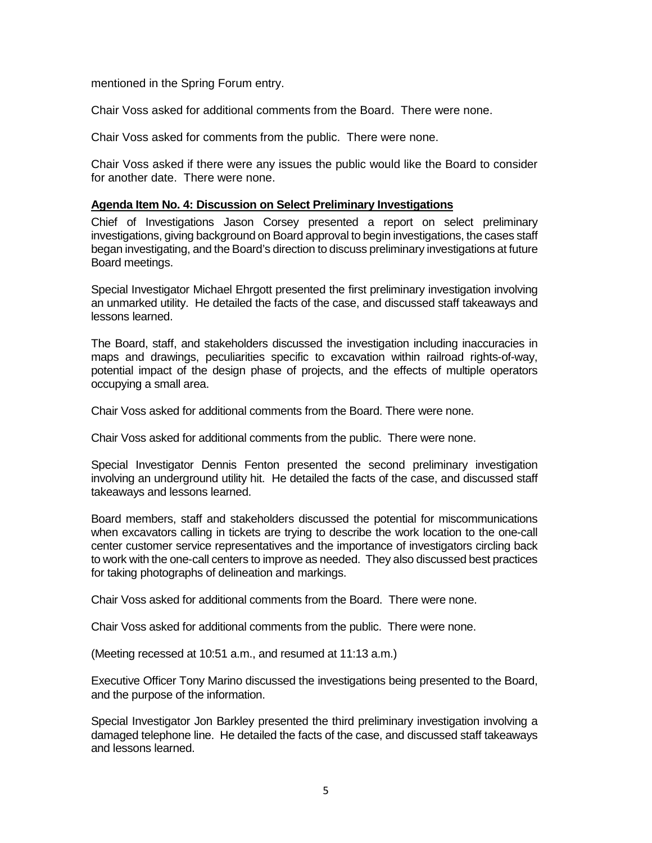mentioned in the Spring Forum entry.

Chair Voss asked for additional comments from the Board. There were none.

Chair Voss asked for comments from the public. There were none.

 for another date. There were none. Chair Voss asked if there were any issues the public would like the Board to consider

### **Agenda Item No. 4: Discussion on Select Preliminary Investigations**

 Chief of Investigations Jason Corsey presented a report on select preliminary began investigating, and the Board's direction to discuss preliminary investigations at future investigations, giving background on Board approval to begin investigations, the cases staff Board meetings.

 Special Investigator Michael Ehrgott presented the first preliminary investigation involving an unmarked utility. He detailed the facts of the case, and discussed staff takeaways and lessons learned.

 The Board, staff, and stakeholders discussed the investigation including inaccuracies in maps and drawings, peculiarities specific to excavation within railroad rights-of-way, potential impact of the design phase of projects, and the effects of multiple operators occupying a small area.

Chair Voss asked for additional comments from the Board. There were none.

Chair Voss asked for additional comments from the public. There were none.

 involving an underground utility hit. He detailed the facts of the case, and discussed staff Special Investigator Dennis Fenton presented the second preliminary investigation takeaways and lessons learned.

 center customer service representatives and the importance of investigators circling back to work with the one-call centers to improve as needed. They also discussed best practices Board members, staff and stakeholders discussed the potential for miscommunications when excavators calling in tickets are trying to describe the work location to the one-call for taking photographs of delineation and markings.

Chair Voss asked for additional comments from the Board. There were none.

Chair Voss asked for additional comments from the public. There were none.

(Meeting recessed at 10:51 a.m., and resumed at 11:13 a.m.)

Executive Officer Tony Marino discussed the investigations being presented to the Board, and the purpose of the information.

Special Investigator Jon Barkley presented the third preliminary investigation involving a damaged telephone line. He detailed the facts of the case, and discussed staff takeaways and lessons learned.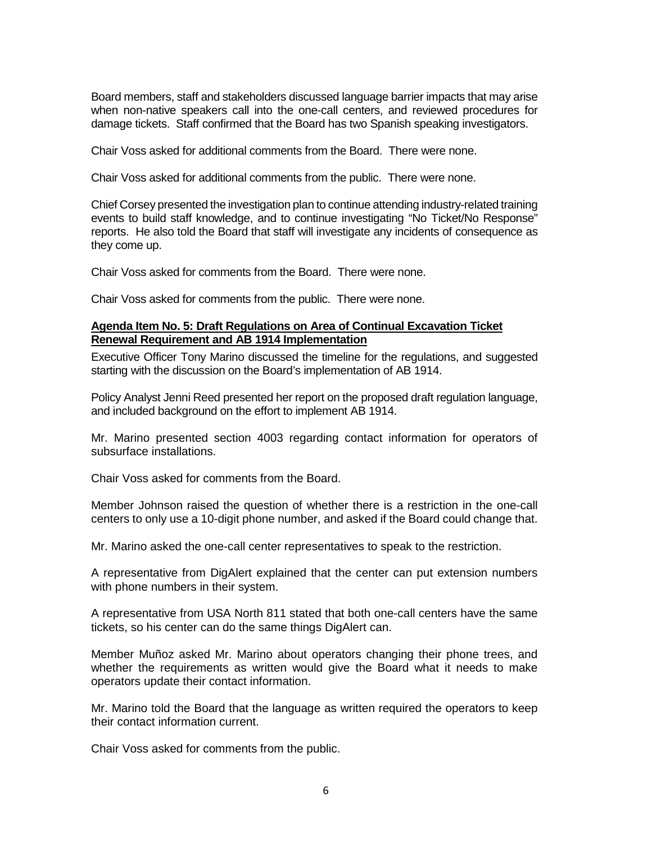Board members, staff and stakeholders discussed language barrier impacts that may arise when non-native speakers call into the one-call centers, and reviewed procedures for damage tickets. Staff confirmed that the Board has two Spanish speaking investigators.

Chair Voss asked for additional comments from the Board. There were none.

Chair Voss asked for additional comments from the public. There were none.

 events to build staff knowledge, and to continue investigating "No Ticket/No Response" reports. He also told the Board that staff will investigate any incidents of consequence as Chief Corsey presented the investigation plan to continue attending industry-related training they come up.

Chair Voss asked for comments from the Board. There were none.

Chair Voss asked for comments from the public. There were none.

### **Renewal Requirement and AB 1914 Implementation Agenda Item No. 5: Draft Regulations on Area of Continual Excavation Ticket**

Executive Officer Tony Marino discussed the timeline for the regulations, and suggested starting with the discussion on the Board's implementation of AB 1914.

Policy Analyst Jenni Reed presented her report on the proposed draft regulation language, and included background on the effort to implement AB 1914.

Mr. Marino presented section 4003 regarding contact information for operators of subsurface installations.

Chair Voss asked for comments from the Board.

 Member Johnson raised the question of whether there is a restriction in the one-call centers to only use a 10-digit phone number, and asked if the Board could change that.

Mr. Marino asked the one-call center representatives to speak to the restriction.

 A representative from DigAlert explained that the center can put extension numbers with phone numbers in their system.

 A representative from USA North 811 stated that both one-call centers have the same tickets, so his center can do the same things DigAlert can.

Member Muñoz asked Mr. Marino about operators changing their phone trees, and whether the requirements as written would give the Board what it needs to make operators update their contact information.

 Mr. Marino told the Board that the language as written required the operators to keep their contact information current.

Chair Voss asked for comments from the public.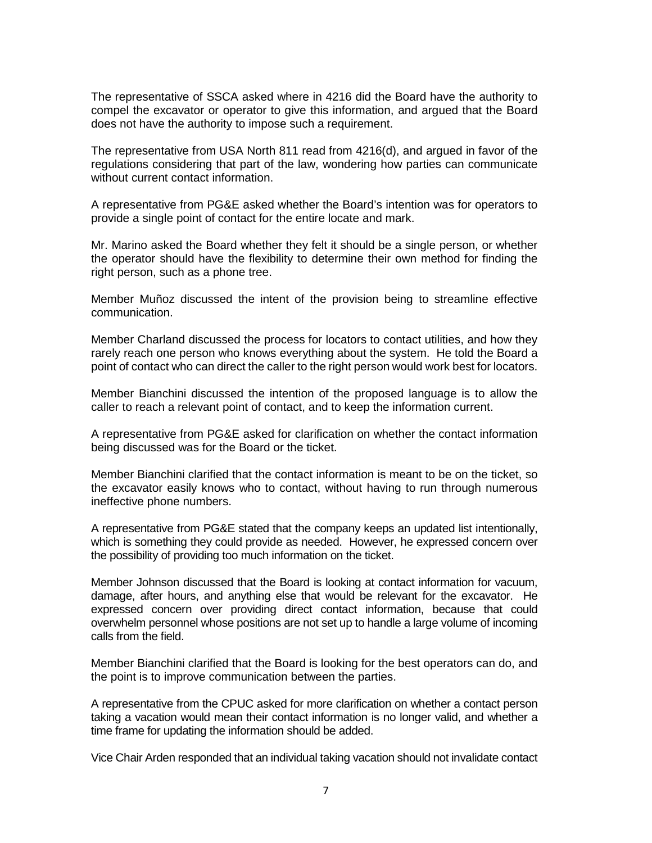compel the excavator or operator to give this information, and argued that the Board The representative of SSCA asked where in 4216 did the Board have the authority to does not have the authority to impose such a requirement.

 The representative from USA North 811 read from 4216(d), and argued in favor of the regulations considering that part of the law, wondering how parties can communicate without current contact information.

 A representative from PG&E asked whether the Board's intention was for operators to provide a single point of contact for the entire locate and mark.

 the operator should have the flexibility to determine their own method for finding the Mr. Marino asked the Board whether they felt it should be a single person, or whether right person, such as a phone tree.

Member Muñoz discussed the intent of the provision being to streamline effective communication.

 Member Charland discussed the process for locators to contact utilities, and how they rarely reach one person who knows everything about the system. He told the Board a point of contact who can direct the caller to the right person would work best for locators.

Member Bianchini discussed the intention of the proposed language is to allow the caller to reach a relevant point of contact, and to keep the information current.

 A representative from PG&E asked for clarification on whether the contact information being discussed was for the Board or the ticket.

 Member Bianchini clarified that the contact information is meant to be on the ticket, so the excavator easily knows who to contact, without having to run through numerous ineffective phone numbers.

 A representative from PG&E stated that the company keeps an updated list intentionally, which is something they could provide as needed. However, he expressed concern over the possibility of providing too much information on the ticket.

 damage, after hours, and anything else that would be relevant for the excavator. He expressed concern over providing direct contact information, because that could Member Johnson discussed that the Board is looking at contact information for vacuum, overwhelm personnel whose positions are not set up to handle a large volume of incoming calls from the field.

 Member Bianchini clarified that the Board is looking for the best operators can do, and the point is to improve communication between the parties.

 taking a vacation would mean their contact information is no longer valid, and whether a A representative from the CPUC asked for more clarification on whether a contact person time frame for updating the information should be added.

Vice Chair Arden responded that an individual taking vacation should not invalidate contact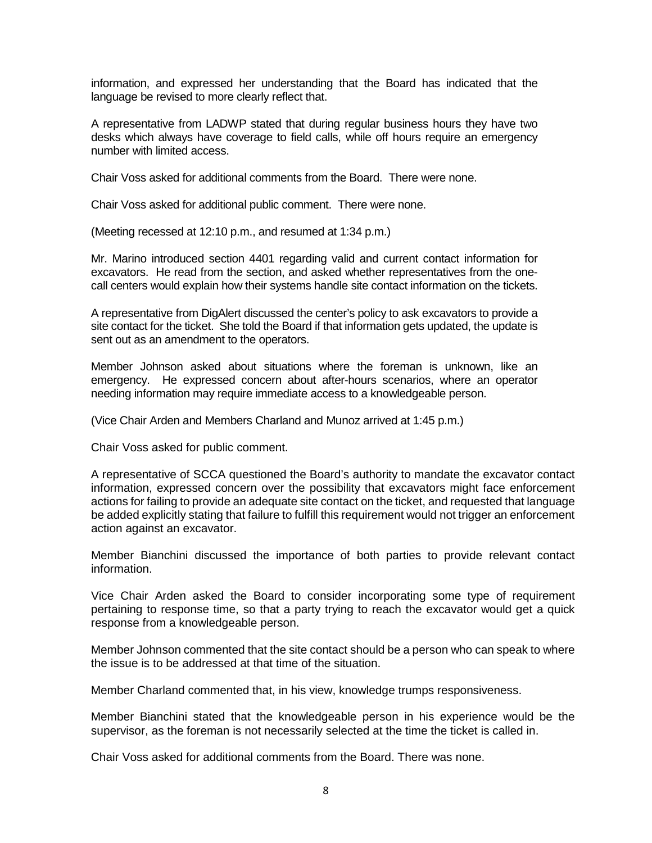information, and expressed her understanding that the Board has indicated that the language be revised to more clearly reflect that.

 A representative from LADWP stated that during regular business hours they have two desks which always have coverage to field calls, while off hours require an emergency number with limited access.

Chair Voss asked for additional comments from the Board. There were none.

Chair Voss asked for additional public comment. There were none.

(Meeting recessed at 12:10 p.m., and resumed at 1:34 p.m.)

 excavators. He read from the section, and asked whether representatives from the one-Mr. Marino introduced section 4401 regarding valid and current contact information for call centers would explain how their systems handle site contact information on the tickets.

A representative from DigAlert discussed the center's policy to ask excavators to provide a site contact for the ticket. She told the Board if that information gets updated, the update is sent out as an amendment to the operators.

 Member Johnson asked about situations where the foreman is unknown, like an emergency. He expressed concern about after-hours scenarios, where an operator needing information may require immediate access to a knowledgeable person.

(Vice Chair Arden and Members Charland and Munoz arrived at 1:45 p.m.)

Chair Voss asked for public comment.

 A representative of SCCA questioned the Board's authority to mandate the excavator contact information, expressed concern over the possibility that excavators might face enforcement actions for failing to provide an adequate site contact on the ticket, and requested that language be added explicitly stating that failure to fulfill this requirement would not trigger an enforcement action against an excavator.

Member Bianchini discussed the importance of both parties to provide relevant contact information.

 Vice Chair Arden asked the Board to consider incorporating some type of requirement pertaining to response time, so that a party trying to reach the excavator would get a quick response from a knowledgeable person.

 Member Johnson commented that the site contact should be a person who can speak to where the issue is to be addressed at that time of the situation.

Member Charland commented that, in his view, knowledge trumps responsiveness.

 supervisor, as the foreman is not necessarily selected at the time the ticket is called in. Member Bianchini stated that the knowledgeable person in his experience would be the

Chair Voss asked for additional comments from the Board. There was none.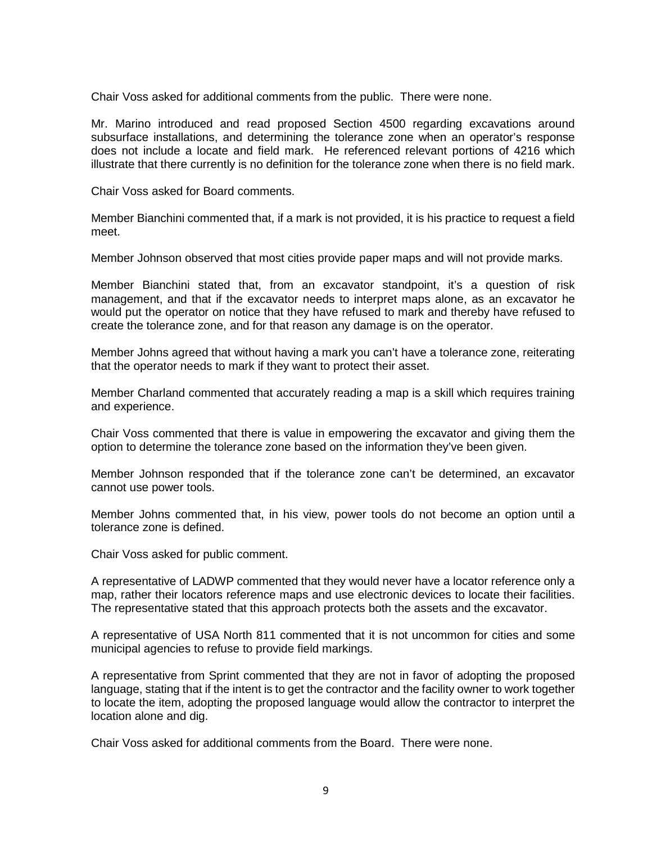Chair Voss asked for additional comments from the public. There were none.

 does not include a locate and field mark. He referenced relevant portions of 4216 which Mr. Marino introduced and read proposed Section 4500 regarding excavations around subsurface installations, and determining the tolerance zone when an operator's response illustrate that there currently is no definition for the tolerance zone when there is no field mark.

Chair Voss asked for Board comments.

 Member Bianchini commented that, if a mark is not provided, it is his practice to request a field meet.

Member Johnson observed that most cities provide paper maps and will not provide marks.

 Member Bianchini stated that, from an excavator standpoint, it's a question of risk create the tolerance zone, and for that reason any damage is on the operator. management, and that if the excavator needs to interpret maps alone, as an excavator he would put the operator on notice that they have refused to mark and thereby have refused to

 Member Johns agreed that without having a mark you can't have a tolerance zone, reiterating that the operator needs to mark if they want to protect their asset.

that the operator needs to mark if they want to protect their asset.<br>Member Charland commented that accurately reading a map is a skill which requires training and experience.

Chair Voss commented that there is value in empowering the excavator and giving them the option to determine the tolerance zone based on the information they've been given.

Member Johnson responded that if the tolerance zone can't be determined, an excavator cannot use power tools.

Member Johns commented that, in his view, power tools do not become an option until a tolerance zone is defined.

Chair Voss asked for public comment.

 A representative of LADWP commented that they would never have a locator reference only a map, rather their locators reference maps and use electronic devices to locate their facilities. The representative stated that this approach protects both the assets and the excavator.

A representative of USA North 811 commented that it is not uncommon for cities and some municipal agencies to refuse to provide field markings.

 to locate the item, adopting the proposed language would allow the contractor to interpret the A representative from Sprint commented that they are not in favor of adopting the proposed language, stating that if the intent is to get the contractor and the facility owner to work together location alone and dig.

Chair Voss asked for additional comments from the Board. There were none.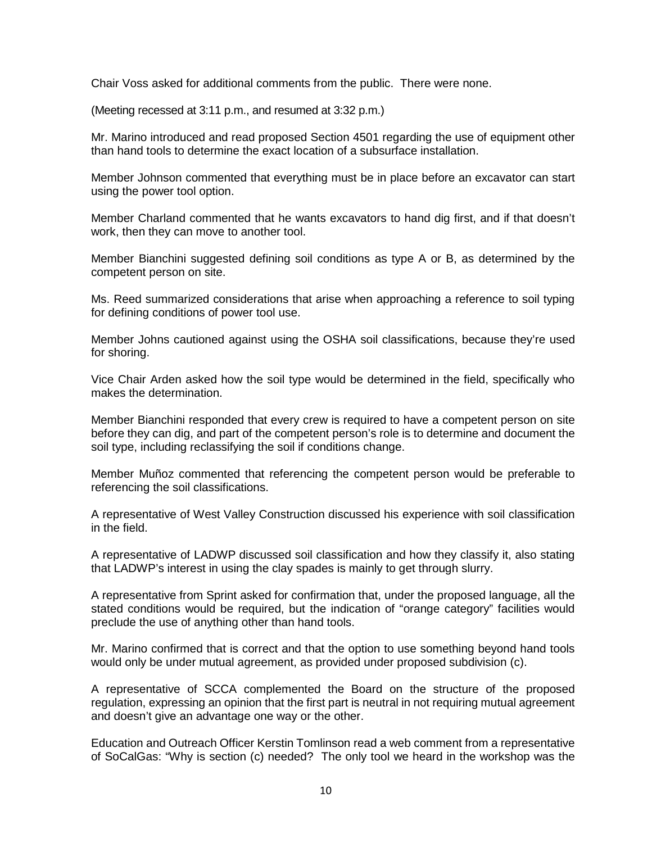Chair Voss asked for additional comments from the public. There were none.

(Meeting recessed at 3:11 p.m., and resumed at 3:32 p.m.)

 Mr. Marino introduced and read proposed Section 4501 regarding the use of equipment other than hand tools to determine the exact location of a subsurface installation.

 using the power tool option. Member Johnson commented that everything must be in place before an excavator can start

 work, then they can move to another tool. Member Charland commented that he wants excavators to hand dig first, and if that doesn't

 Member Bianchini suggested defining soil conditions as type A or B, as determined by the competent person on site.

Ms. Reed summarized considerations that arise when approaching a reference to soil typing for defining conditions of power tool use.

Member Johns cautioned against using the OSHA soil classifications, because they're used for shoring.

Vice Chair Arden asked how the soil type would be determined in the field, specifically who makes the determination.

Member Bianchini responded that every crew is required to have a competent person on site before they can dig, and part of the competent person's role is to determine and document the soil type, including reclassifying the soil if conditions change.

Member Muñoz commented that referencing the competent person would be preferable to referencing the soil classifications.

 A representative of West Valley Construction discussed his experience with soil classification in the field.

 that LADWP's interest in using the clay spades is mainly to get through slurry. A representative of LADWP discussed soil classification and how they classify it, also stating

 A representative from Sprint asked for confirmation that, under the proposed language, all the stated conditions would be required, but the indication of "orange category" facilities would preclude the use of anything other than hand tools.

Mr. Marino confirmed that is correct and that the option to use something beyond hand tools would only be under mutual agreement, as provided under proposed subdivision (c).

A representative of SCCA complemented the Board on the structure of the proposed regulation, expressing an opinion that the first part is neutral in not requiring mutual agreement and doesn't give an advantage one way or the other.

 Education and Outreach Officer Kerstin Tomlinson read a web comment from a representative of SoCalGas: "Why is section (c) needed? The only tool we heard in the workshop was the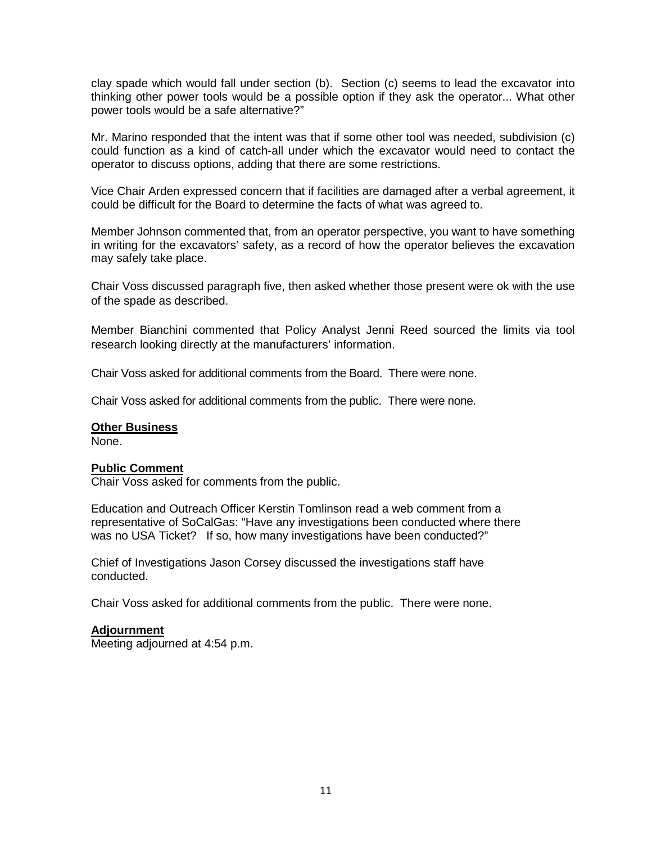thinking other power tools would be a possible option if they ask the operator... What other clay spade which would fall under section (b). Section (c) seems to lead the excavator into power tools would be a safe alternative?"

 operator to discuss options, adding that there are some restrictions. Mr. Marino responded that the intent was that if some other tool was needed, subdivision (c) could function as a kind of catch-all under which the excavator would need to contact the

 could be difficult for the Board to determine the facts of what was agreed to. Vice Chair Arden expressed concern that if facilities are damaged after a verbal agreement, it

 may safely take place. Member Johnson commented that, from an operator perspective, you want to have something in writing for the excavators' safety, as a record of how the operator believes the excavation

Chair Voss discussed paragraph five, then asked whether those present were ok with the use of the spade as described.

Member Bianchini commented that Policy Analyst Jenni Reed sourced the limits via tool research looking directly at the manufacturers' information.

Chair Voss asked for additional comments from the Board. There were none.

Chair Voss asked for additional comments from the public. There were none.

#### **Other Business**

None.

#### **Public Comment**

Chair Voss asked for comments from the public.

 Education and Outreach Officer Kerstin Tomlinson read a web comment from a was no USA Ticket? If so, how many investigations have been conducted?" representative of SoCalGas: "Have any investigations been conducted where there

Chief of Investigations Jason Corsey discussed the investigations staff have conducted.

Chair Voss asked for additional comments from the public. There were none.

#### **Adjournment**

Meeting adjourned at 4:54 p.m.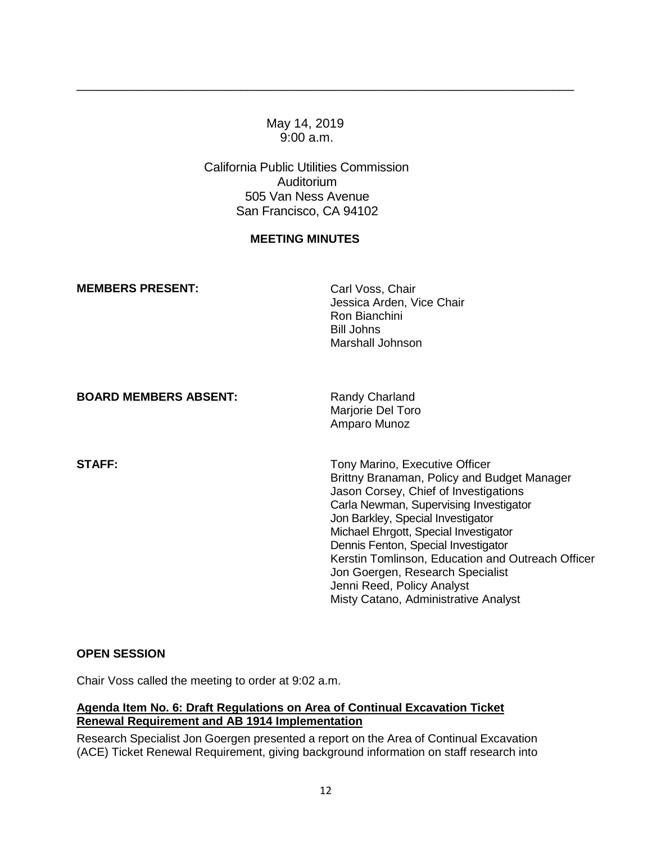### May 14, 2019 9:00 a.m.

\_\_\_\_\_\_\_\_\_\_\_\_\_\_\_\_\_\_\_\_\_\_\_\_\_\_\_\_\_\_\_\_\_\_\_\_\_\_\_\_\_\_\_\_\_\_\_\_\_\_\_\_\_\_\_\_\_\_\_\_\_\_\_\_\_\_\_\_\_\_

California Public Utilities Commission Auditorium 505 Van Ness Avenue San Francisco, CA 94102

### **MEETING MINUTES**

| <b>MEMBERS PRESENT:</b>      | Carl Voss, Chair<br>Jessica Arden, Vice Chair<br>Ron Bianchini<br>Bill Johns<br>Marshall Johnson                                                                                                                                                                                                                                                                                                                                                     |
|------------------------------|------------------------------------------------------------------------------------------------------------------------------------------------------------------------------------------------------------------------------------------------------------------------------------------------------------------------------------------------------------------------------------------------------------------------------------------------------|
| <b>BOARD MEMBERS ABSENT:</b> | Randy Charland<br>Marjorie Del Toro<br>Amparo Munoz                                                                                                                                                                                                                                                                                                                                                                                                  |
| <b>STAFF:</b>                | Tony Marino, Executive Officer<br>Brittny Branaman, Policy and Budget Manager<br>Jason Corsey, Chief of Investigations<br>Carla Newman, Supervising Investigator<br>Jon Barkley, Special Investigator<br>Michael Ehrgott, Special Investigator<br>Dennis Fenton, Special Investigator<br>Kerstin Tomlinson, Education and Outreach Officer<br>Jon Goergen, Research Specialist<br>Jenni Reed, Policy Analyst<br>Misty Catano, Administrative Analyst |

### **OPEN SESSION**

Chair Voss called the meeting to order at 9:02 a.m.

### **Agenda Item No. 6: Draft Regulations on Area of Continual Excavation Ticket Renewal Requirement and AB 1914 Implementation**

Research Specialist Jon Goergen presented a report on the Area of Continual Excavation (ACE) Ticket Renewal Requirement, giving background information on staff research into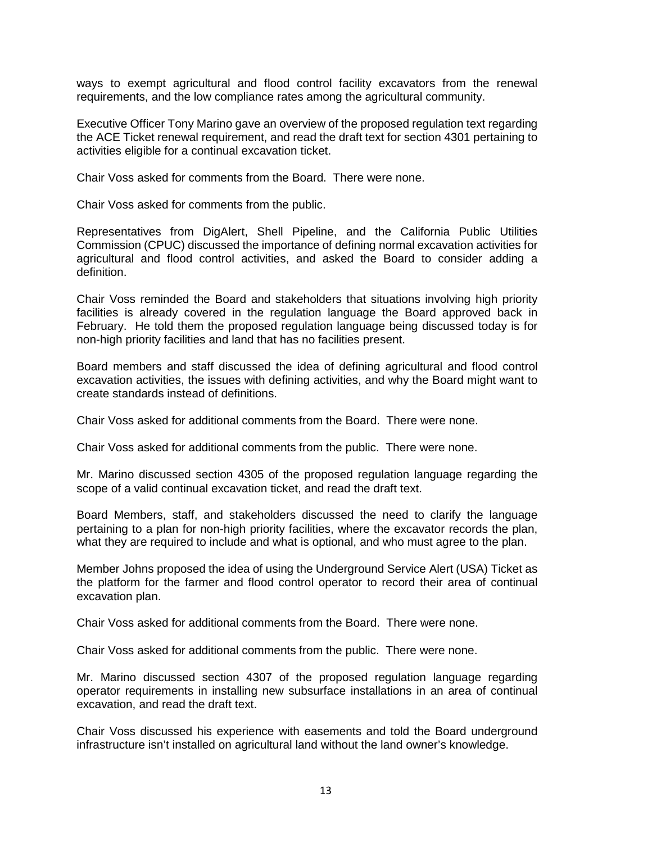ways to exempt agricultural and flood control facility excavators from the renewal requirements, and the low compliance rates among the agricultural community.

 the ACE Ticket renewal requirement, and read the draft text for section 4301 pertaining to Executive Officer Tony Marino gave an overview of the proposed regulation text regarding activities eligible for a continual excavation ticket.

Chair Voss asked for comments from the Board. There were none.

Chair Voss asked for comments from the public.

 Representatives from DigAlert, Shell Pipeline, and the California Public Utilities Commission (CPUC) discussed the importance of defining normal excavation activities for agricultural and flood control activities, and asked the Board to consider adding a definition.

 facilities is already covered in the regulation language the Board approved back in Chair Voss reminded the Board and stakeholders that situations involving high priority February. He told them the proposed regulation language being discussed today is for non-high priority facilities and land that has no facilities present.

 excavation activities, the issues with defining activities, and why the Board might want to Board members and staff discussed the idea of defining agricultural and flood control create standards instead of definitions.

Chair Voss asked for additional comments from the Board. There were none.

Chair Voss asked for additional comments from the public. There were none.

Mr. Marino discussed section 4305 of the proposed regulation language regarding the scope of a valid continual excavation ticket, and read the draft text.

 pertaining to a plan for non-high priority facilities, where the excavator records the plan, Board Members, staff, and stakeholders discussed the need to clarify the language what they are required to include and what is optional, and who must agree to the plan.

 Member Johns proposed the idea of using the Underground Service Alert (USA) Ticket as the platform for the farmer and flood control operator to record their area of continual excavation plan.

Chair Voss asked for additional comments from the Board. There were none.

Chair Voss asked for additional comments from the public. There were none.

 operator requirements in installing new subsurface installations in an area of continual Mr. Marino discussed section 4307 of the proposed regulation language regarding excavation, and read the draft text.

Chair Voss discussed his experience with easements and told the Board underground infrastructure isn't installed on agricultural land without the land owner's knowledge.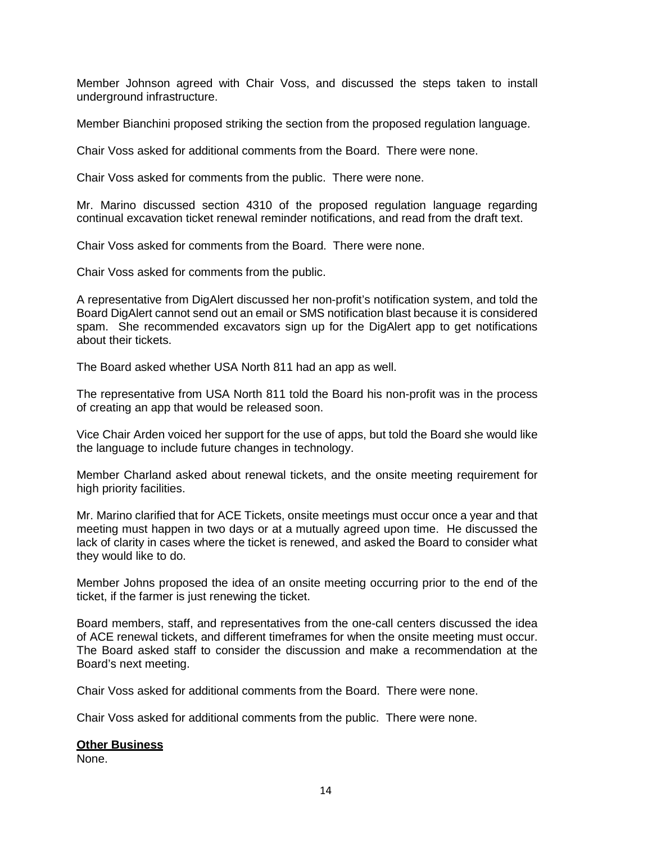Member Johnson agreed with Chair Voss, and discussed the steps taken to install underground infrastructure.

Member Bianchini proposed striking the section from the proposed regulation language.

Chair Voss asked for additional comments from the Board. There were none.

Chair Voss asked for comments from the public. There were none.

 continual excavation ticket renewal reminder notifications, and read from the draft text. Mr. Marino discussed section 4310 of the proposed regulation language regarding

Chair Voss asked for comments from the Board. There were none.

Chair Voss asked for comments from the public.

 spam. She recommended excavators sign up for the DigAlert app to get notifications A representative from DigAlert discussed her non-profit's notification system, and told the Board DigAlert cannot send out an email or SMS notification blast because it is considered about their tickets.

The Board asked whether USA North 811 had an app as well.

 The representative from USA North 811 told the Board his non-profit was in the process of creating an app that would be released soon.

 Vice Chair Arden voiced her support for the use of apps, but told the Board she would like the language to include future changes in technology.

Member Charland asked about renewal tickets, and the onsite meeting requirement for high priority facilities.

 meeting must happen in two days or at a mutually agreed upon time. He discussed the Mr. Marino clarified that for ACE Tickets, onsite meetings must occur once a year and that lack of clarity in cases where the ticket is renewed, and asked the Board to consider what they would like to do.

 ticket, if the farmer is just renewing the ticket. Member Johns proposed the idea of an onsite meeting occurring prior to the end of the

 of ACE renewal tickets, and different timeframes for when the onsite meeting must occur. The Board asked staff to consider the discussion and make a recommendation at the Board members, staff, and representatives from the one-call centers discussed the idea Board's next meeting.

Chair Voss asked for additional comments from the Board. There were none.

Chair Voss asked for additional comments from the public. There were none.

#### **Other Business**

None.